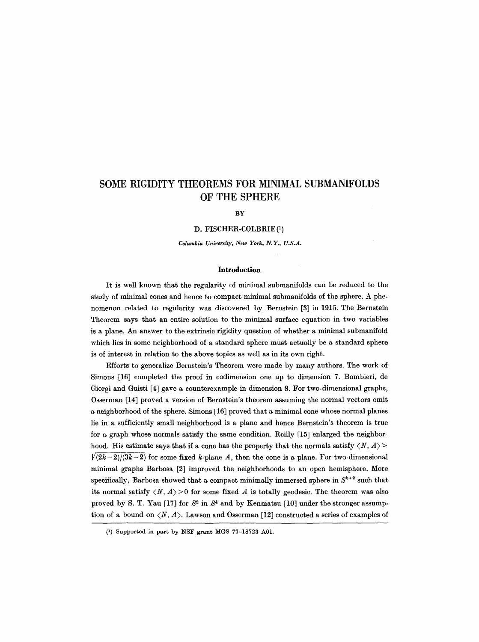# **SOME RIGIDITY THEOREMS FOR MINIMAL SUBMANIFOLDS OF THE SPHERE**

#### **BY**

D. FISCHER-COLBRIE (1)

*Columbia University, New York, N.Y., U.S.A.* 

## **Introduction**

It is well known that the regularity of minimal submanifolds can be reduced to the study of minimal cones and hence to compact minimal submanifolds of the sphere. A phenomenon related to regularity was discovered by Bernstein [3] in 1915. The Bernstein Theorem says that an entire solution to the minimal surface equation in two variables is a plane. An answer to the extrinsic rigidity question of whether a minimal submanifold which lies in some neighborhood of a standard sphere must actually be a standard sphere is of interest in relation to the above topics as well as in its own right.

Efforts to generalize Bernstein's Theorem were made by many authors. The work of Simons [16] completed the proof in codimension one up to dimension 7. Bombieri, de Giorgi and Guisti [4] gave a counterexample in dimension 8. For two-dimensional graphs, Osserman [14] proved a version of Bcrnstein's theorem assuming the normal vectors omit a neighborhood of the sphere. Simons [16] proved that a minimal cone whose normal planes lie in a sufficiently small neighborhood is a plane and hence Bernstein's theorem is true for a graph whose normals satisfy the same condition. Reilly [15] enlarged the neighborhood. His estimate says that if a cone has the property that the normals satisfy  $\langle N, A \rangle$  $\sqrt{(2k-2)/(3k-2)}$  for some fixed k-plane A, then the cone is a plane. For two-dimensional minimal graphs Barbosa [2] improved the neighborhoods to an open hemisphere. More specifically, Barbosa showed that a compact minimally immersed sphere in  $S^{k+2}$  such that its normal satisfy  $\langle N, A \rangle > 0$  for some fixed A is totally geodesic. The theorem was also proved by S. T. Yau [17] for  $S^2$  in  $S^4$  and by Kenmatsu [10] under the stronger assumption of a bound on  $\langle N, A \rangle$ . Lawson and Osserman [12] constructed a series of examples of

<sup>(1)</sup> Supported in part by NSF grant MGS 77-18723 A01.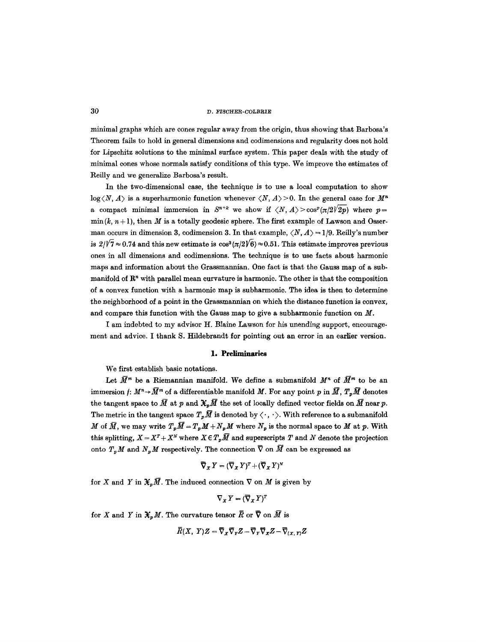minimal graphs which are cones regular away from the origin, thus showing that Barbosa's Theorem fails to hold in general dimensions and codimensions and regularity does not hold for Lipschitz solutions to the minimal surface system. This paper deals with the study of minimal cones whose normals satisfy conditions of this type. We improve the estimates of Reilly and we generalize Barbosa's result.

In the two-dimensional case, the technique is to use a local computation to show  $log\langle N, A \rangle$  is a superharmonic function whenever  $\langle N, A \rangle > 0$ . In the general case for  $M^n$ a compact minimal immersion in  $S^{n+k}$  we show if  $\langle N, A \rangle > \cos^p \frac{\langle \pi/2 \sqrt{2p} \rangle}{\sqrt{2p}}$  where  $p=$  $\min(k, n+1)$ , then M is a totally geodesic sphere. The first example of Lawson and Osserman occurs in dimension 3, codimension 3. In that example,  $\langle N, A \rangle = 1/9$ . Reilly's number is  $2/\sqrt{7} \approx 0.74$  and this new estimate is  $\cos^3(\pi/2\sqrt{6}) \approx 0.51$ . This estimate improves previous ones in all dimensions and eodimensions. The technique is to use facts about harmonic maps and information about the Grassmannian. One fact is that the Gauss map of a submanifold of  $\mathbb{R}^n$  with parallel mean curvature is harmonic. The other is that the composition of a convex function with a harmonic map is subharmonie. The idea is then to determine the neighborhood of a point in the Grassmannian on which the distance function is convex, and compare this function with the Gauss map to give a subharmonic function on  $M$ .

I am indebted to my advisor H. BIaine Lawson for his unending support, encouragement and advice. I thank S. Hildebrandt for pointing out an error in an earlier version.

# **1. Preliminaries**

We first establish basic notations.

Let  $\bar{M}^m$  be a Riemannian manifold. We define a submanifold  $M^n$  of  $\bar{M}^m$  to be an immersion  $f: M^n \rightarrow \overline{M}^m$  of a differentiable manifold M. For any point p in  $\overline{M}$ ,  $T_p\overline{M}$  denotes the tangent space to  $\bar{M}$  at p and  $\mathfrak{X}_p\bar{M}$  the set of locally defined vector fields on  $\bar{M}$  near p. The metric in the tangent space  $T_p\bar{M}$  is denoted by  $\langle \cdot, \cdot \rangle$ . With reference to a submanifold M of  $\overline{M}$ , we may write  $T_p\overline{M} = T_pM + N_pM$  where  $N_p$  is the normal space to M at p. With this splitting,  $X = X^T + X^N$  where  $X \in T_p\bar{M}$  and superscripts T and N denote the projection onto  $T_nM$  and  $N_pM$  respectively. The connection  $\overline{\nabla}$  on  $\overline{M}$  can be expressed as

$$
\overline{\nabla}_X Y = (\overline{\nabla}_X Y)^T + (\overline{\nabla}_X Y)^N
$$

for X and Y in  $\mathfrak{X}_n\overline{M}$ . The induced connection  $\nabla$  on M is given by

$$
\nabla_X Y = (\overline{\nabla}_X Y)^T
$$

for X and Y in  $\mathfrak{X}_p M$ . The curvature tensor  $\overline{R}$  or  $\overline{\nabla}$  on  $\overline{M}$  is

$$
\bar{R}(X, Y)Z = \bar{\nabla}_{\boldsymbol{X}}\bar{\nabla}_{\boldsymbol{Y}}Z - \bar{\nabla}_{\boldsymbol{Y}}\bar{\nabla}_{\boldsymbol{X}}Z - \bar{\nabla}_{\boldsymbol{X}, YY^Z
$$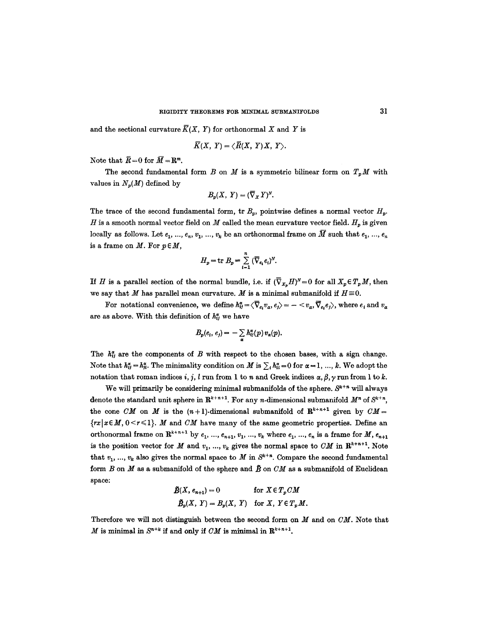and the sectional curvature  $\overline{K}(X, Y)$  for orthonormal X and Y is

$$
\overline{K}(X, Y) = \langle \overline{R}(X, Y)X, Y \rangle.
$$

Note that  $\overline{R} = 0$  for  $\overline{M} = \mathbb{R}^m$ .

The second fundamental form B on M is a symmetric bilinear form on  $T_pM$  with values in  $N_n(M)$  defined by

$$
B_p(X, Y) = (\overline{\nabla}_X Y)^N.
$$

The trace of the second fundamental form, tr  $B_p$ , pointwise defines a normal vector  $H_p$ . H is a smooth normal vector field on M called the mean curvature vector field.  $H_p$  is given locally as follows. Let  $e_1, ..., e_n, v_1, ..., v_k$  be an orthonormal frame on  $\overline{M}$  such that  $e_1, ..., e_n$ is a frame on  $M$ . For  $p \in M$ ,

$$
H_p = \text{tr } B_p = \sum_{i=1}^n \left( \overline{\nabla}_{e_i} e_i \right)^N.
$$

If H is a parallel section of the normal bundle, i.e. if  $(\nabla_{X_n} H)^N = 0$  for all  $X_p \in T_pM$ , then we say that M has parallel mean curvature. M is a minimal submanifold if  $H \equiv 0$ .

For notational convenience, we define  $h_{ij}^{\alpha} = \langle \overline{\nabla}_{e_i} v_{\alpha}, e_i \rangle = - \langle v_{\alpha}, \overline{\nabla}_{e_i} e_i \rangle$ , where  $e_i$  and  $v_{\alpha}$ are as above. With this definition of  $h^{\alpha}_{ij}$  we have

$$
B_p(e_i, e_j) = -\sum_{\alpha} h_{ij}^{\alpha}(p) v_{\alpha}(p).
$$

The  $h_{ij}^{\alpha}$  are the components of B with respect to the chosen bases, with a sign change. Note that  $h^{\alpha}_{ij} = h^{\alpha}_{ji}$ . The minimality condition on M is  $\sum_i h^{\alpha}_{ii} = 0$  for  $\alpha = 1, ..., k$ . We adopt the notation that roman indices i, j, l run from 1 to n and Greek indices  $\alpha$ ,  $\beta$ ,  $\gamma$  run from 1 to k.

We will primarily be considering minimal submanifolds of the sphere.  $S^{k+n}$  will always denote the standard unit sphere in  $\mathbb{R}^{k+n+1}$ . For any *n*-dimensional submanifold  $M^n$  of  $S^{k+n}$ . the cone *CM* on *M* is the  $(n+1)$ -dimensional submanifold of  $\mathbb{R}^{k+n+1}$  given by  $CM =$  $\{rx \mid x \in M, 0 \le r \le 1\}$ . *M* and *CM* have many of the same geometric properties. Define an orthonormal frame on  $\mathbb{R}^{k+n+1}$  by  $e_1, ..., e_{n+1}, v_1, ..., v_k$  where  $e_1, ..., e_n$  is a frame for  $M, e_{n+1}$ is the position vector for M and  $v_1, ..., v_k$  gives the normal space to  $CM$  in  $\mathbb{R}^{k+n+1}$ . Note that  $v_1, ..., v_k$  also gives the normal space to M in  $S^{k+n}$ . Compare the second fundamental form  $B$  on  $M$  as a submanifold of the sphere and  $\tilde{B}$  on  $CM$  as a submanifold of Euclidean space:

$$
\tilde{B}(X, e_{n+1}) = 0 \quad \text{for } X \in T_p \text{ CM}
$$
\n
$$
\tilde{B}_p(X, Y) = B_p(X, Y) \quad \text{for } X, Y \in T_p \text{ M}.
$$

Therefore we will not distinguish between the second form on M and on *CM.* Note that M is minimal in  $S^{n+k}$  if and only if CM is minimal in  $\mathbb{R}^{k+n+1}$ .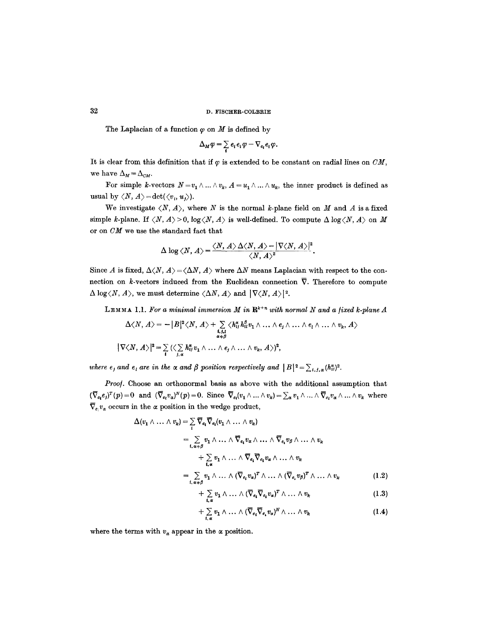The Laplacian of a function  $\varphi$  on  $M$  is defined by

$$
\Delta_M \varphi = \sum_i e_i e_i \varphi - \nabla_{e_i} e_i \varphi.
$$

It is clear from this definition that if  $\varphi$  is extended to be constant on radial lines on *CM*, we have  $\Delta_M = \Delta_{CM}$ .

For simple k-vectors  $N=v_1 \wedge ... \wedge v_k$ ,  $A = u_1 \wedge ... \wedge u_k$ , the inner product is defined as usual by  $\langle N, A \rangle = \det(\langle v_i, u_i \rangle)$ .

We investigate  $\langle N, A \rangle$ , where N is the normal k-plane field on M and A is a fixed simple k-plane. If  $\langle N, A \rangle > 0$ ,  $\log \langle N, A \rangle$  is well-defined. To compute  $\Delta \log \langle N, A \rangle$  on M or on *CM* we use the standard fact that

$$
\Delta \log \langle N, A \rangle = \frac{\langle N, A \rangle \Delta \langle N, A \rangle - |\nabla \langle N, A \rangle|^2}{\langle N, A \rangle^2}.
$$

Since A is fixed,  $\Delta \langle N, A \rangle = \langle \Delta N, A \rangle$  where  $\Delta N$  means Laplacian with respect to the connection on k-vectors induced from the Euclidean connection  $\overline{\nabla}$ . Therefore to compute  $\Delta \log \langle N, A \rangle$ , we must determine  $\langle \Delta N, A \rangle$  and  $|\nabla \langle N, A \rangle|^2$ .

LEMMA 1.1. For a minimal immersion  $M$  in  $\mathbb{R}^{k+n}$  with normal  $N$  and a fixed k-plane  $A$ 

$$
\Delta \langle N, A \rangle = - |B|^2 \langle N, A \rangle + \sum_{\substack{i,j,l \\ \alpha+\beta}} \langle h_{ij}^z h_{il}^{\beta} v_1 \wedge \ldots \wedge e_j \wedge \ldots \wedge e_l \wedge \ldots \wedge v_k, A \rangle
$$
  

$$
|\nabla \langle N, A \rangle|^2 = \sum_{i} (\langle \sum_{j,\alpha} h_{ij}^{\alpha} v_1 \wedge \ldots \wedge e_j \wedge \ldots \wedge v_k, A \rangle)^2,
$$

*where e<sub>j</sub> and e<sub>i</sub> are in the*  $\alpha$  *and*  $\beta$  *position respectively and*  $|B|^2 = \sum_{i,j,\alpha} (h_{ij}^{\alpha})^2$ *.* 

*Proo/.* Choose an orthonormal basis as above with the additional assumption that  $(\nabla_{e_t} e_j)^T(p) = 0$  and  $(\nabla_{e_t} v_\alpha)^N(p) = 0$ . Since  $\nabla_{e_t}(v_1 \wedge \ldots \wedge v_k) = \sum_{\alpha} v_1 \wedge \ldots \wedge \overline{v}_{e_1} v_\alpha \wedge \ldots \wedge v_k$  where  $\overline{\nabla}_{e_i} v_\alpha$  occurs in the  $\alpha$  position in the wedge product,

$$
\Delta(v_1 \wedge \ldots \wedge v_k) = \sum_i \overline{\nabla}_{e_i} \overline{\nabla}_{e_i} (v_1 \wedge \ldots \wedge v_k)
$$
\n
$$
= \sum_{i, \alpha \neq \beta} v_1 \wedge \ldots \wedge \overline{\nabla}_{e_i} v_\alpha \wedge \ldots \wedge \overline{\nabla}_{e_i} v_\beta \wedge \ldots \wedge v_k
$$
\n
$$
+ \sum_{i, \alpha} v_1 \wedge \ldots \wedge \overline{\nabla}_{e_i} \overline{\nabla}_{e_i} v_\alpha \wedge \ldots \wedge v_k
$$
\n
$$
= \sum_{i, \alpha \neq \beta} v_1 \wedge \ldots \wedge (\overline{\nabla}_{e_i} v_\alpha)^T \wedge \ldots \wedge (\overline{\nabla}_{e_i} v_\beta)^T \wedge \ldots \wedge v_k
$$
\n(1.2)

$$
+ \sum_{i,\alpha} v_1 \wedge \ldots \wedge (\overline{\nabla}_{e_i} \overline{\nabla}_{e_i} v_\alpha)^T \wedge \ldots \wedge v_k \qquad (1.3)
$$

$$
+ \sum_{i,\alpha} v_1 \wedge \ldots \wedge (\overline{\nabla}_{e_i} \overline{\nabla}_{e_i} v_\alpha)^N \wedge \ldots \wedge v_k \qquad (1.4)
$$

where the terms with  $v_{\alpha}$  appear in the  $\alpha$  position.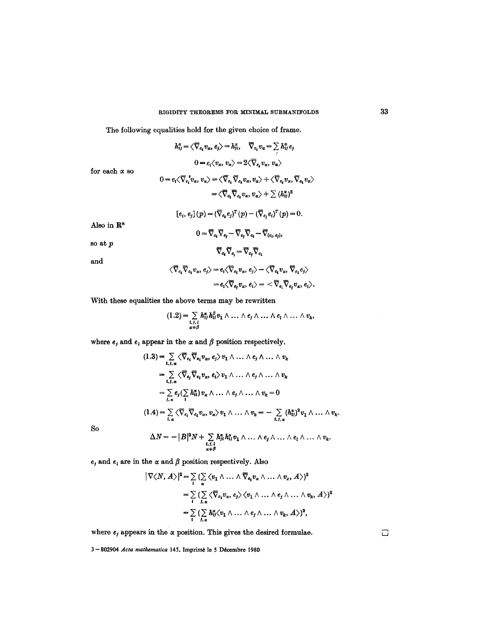The following equalities hold for the given choice of frame.

$$
h_{ij}^{\alpha} = \langle \overline{\nabla}_{e_i} v_{\alpha}, e_j \rangle = h_{ji}^{\alpha}, \quad \overline{\nabla}_{e_i} v_{\alpha} = \sum_i h_{ij}^{\alpha} e_j
$$
  
\n
$$
0 = e_i \langle v_{\alpha}, v_{\alpha} \rangle = 2 \langle \overline{\nabla}_{e_i} v_{\alpha}, v_{\alpha} \rangle
$$
  
\n
$$
0 = e_i \langle \overline{\nabla}_{e_i} v_{\alpha}, v_{\alpha} \rangle = \langle \overline{\nabla}_{e_i} \overline{\nabla}_{e_i} v_{\alpha}, v_{\alpha} \rangle + \langle \overline{\nabla}_{e_i} v_{\alpha}, \overline{\nabla}_{e_i} v_{\alpha} \rangle
$$
  
\n
$$
= \langle \overline{\nabla}_{e_i} \overline{\nabla}_{e_i} v_{\alpha}, v_{\alpha} \rangle + \sum_i (h_{ij}^{\alpha})^2
$$
  
\n
$$
[e_i, e_j] (p) = (\overline{\nabla}_{e_i} e_j)^T (p) - (\overline{\nabla}_{e_j} e_i)^T (p) = 0.
$$
  
\nin  $\mathbb{R}^n$   
\n
$$
0 = \overline{\nabla}_{e_i} \overline{\nabla}_{e_j} - \overline{\nabla}_{e_j} \overline{\nabla}_{e_i} - \overline{\nabla}_{e_i, e_j},
$$
  
\n
$$
\overline{\nabla}_{e_i} \overline{\nabla}_{e_i} v_{\alpha}, e_j \rangle = e_i \langle \overline{\nabla}_{e_i} v_{\alpha}, e_j \rangle - \langle \overline{\nabla}_{e_i} v_{\alpha}, \overline{\nabla}_{e_i} e_j \rangle
$$

for ea

$$
\begin{aligned} 0 = e_i \langle \nabla_{e_i} v_\alpha, v_\alpha \rangle &= \langle \nabla_{e_i} \nabla_{e_i} v_\alpha, v_\alpha \rangle + \langle \nabla_{e_i} v_\alpha, \nabla_{e_i} v_\alpha \rangle \\ &= \langle \nabla_{e_i} \nabla_{e_i} v_\alpha, v_\alpha \rangle + \sum (h_{ij}^\alpha)^2 \end{aligned}
$$

Also

so at

and

$$
\begin{aligned}\n\langle \overline{\nabla}_{e_i} \overline{\nabla}_{e_i} v_\alpha, e_j \rangle &= e_i \langle \overline{\nabla}_{e_i} v_\alpha, e_j \rangle - \langle \overline{\nabla}_{e_i} v_\alpha, \overline{\nabla}_{e_i} e_j \rangle \\
&= e_i \langle \overline{\nabla}_{e_j} v_\alpha, e_i \rangle = \langle \overline{\nabla}_{e_i} \overline{\nabla}_{e_j} v_\alpha, e_i \rangle.\n\end{aligned}
$$

With these equalities the above terms may be rewritten

$$
(1.2) = \sum_{\substack{i,j,l \\ \alpha+\beta}} h_{il}^{\alpha} h_{il}^{\beta} v_1 \wedge \ldots \wedge e_j \wedge \ldots \wedge e_l \wedge \ldots \wedge v_k,
$$

where  $e_j$  and  $e_l$  appear in the  $\alpha$  and  $\beta$  position respectively.

$$
(1.3) = \sum_{i,j,\alpha} \langle \overline{\nabla}_{e_i} \overline{\nabla}_{e_i} v_\alpha, e_j \rangle v_1 \wedge \ldots \wedge e_j \wedge \ldots \wedge v_k
$$
  
\n
$$
= \sum_{i,j,\alpha} \langle \overline{\nabla}_{e_j} \overline{\nabla}_{e_i} v_\alpha, e_i \rangle v_1 \wedge \ldots \wedge e_j \wedge \ldots \wedge v_k
$$
  
\n
$$
= \sum_{j,\alpha} e_j (\sum_i h_{ii}^{\alpha}) v_\alpha \wedge \ldots \wedge e_j \wedge \ldots \wedge v_k = 0
$$
  
\n
$$
(1.4) = \sum_{i,\alpha} \langle \overline{\nabla}_{e_i} \overline{\nabla}_{e_i} v_\alpha, v_\alpha \rangle v_1 \wedge \ldots \wedge v_k = - \sum_{i,j,\alpha} (h_{ij}^{\alpha})^2 v_1 \wedge \ldots \wedge v_k.
$$

So

$$
\Delta N = - |B|^2 N + \sum_{\substack{i,j,l \ a \neq \beta}} \tilde{h}_{ji}^{\alpha} h_{il}^{\alpha} v_1 \wedge \ldots \wedge e_j \wedge \ldots \wedge e_l \wedge \ldots \wedge v_k.
$$

 $e_j$  and  $e_i$  are in the  $\alpha$  and  $\beta$  position respectively. Also

$$
|\nabla \langle N, A \rangle|^2 = \sum_i (\sum_{\alpha} \langle v_1 \wedge \dots \wedge \overline{\nabla}_{e_i} v_{\alpha} \wedge \dots \wedge v_{\alpha}, A \rangle)^2
$$
  
=  $\sum_i (\sum_{i,\alpha} \langle \overline{\nabla}_{e_i} v_{\alpha}, e_j \rangle \langle v_1 \wedge \dots \wedge e_j \wedge \dots \wedge v_{\alpha}, A \rangle)^2$   
=  $\sum_i (\sum_{i,\alpha} h_{ij}^{\alpha} \langle v_1 \wedge \dots \wedge e_j \wedge \dots \wedge v_{\alpha}, A \rangle)^2$ ,

where  $e_j$  appears in the  $\alpha$  position. This gives the desired formulae.

 $\Box$ 

3-802904 *Acta mathematica* 145. Imprimé le 5 Décembre 1980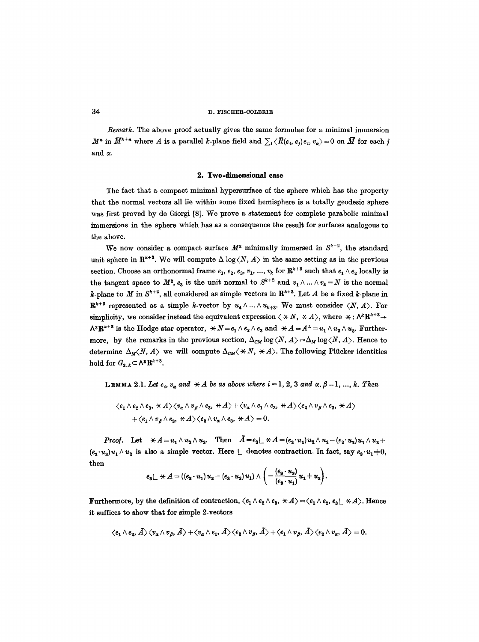*Remark*. The above proof actually gives the same formulae for a minimal immersion  $M^n$  in  $\bar{M}^{k+n}$  where A is a parallel k-plane field and  $\sum_i \langle \bar{R}(e_i, e_j)e_i, v_\alpha \rangle = 0$  on  $\bar{M}$  for each j and  $\alpha$ .

#### **2. Two.dlmensional ease**

The fact that a compact minimal hypersurfaee of the sphere which has the property that the normal vectors all lie within some fixed hemisphere is a totally geodesic sphere was first proved by de Giorgi [8]. We prove a statement for complete parabolic minimal immersions in the sphere which has as a consequence the result for surfaces analogous to the above.

We now consider a compact surface  $M^2$  minimally immersed in  $S^{k+2}$ , the standard unit sphere in  $\mathbb{R}^{k+3}$ . We will compute  $\Delta \log \langle N, A \rangle$  in the same setting as in the previous section. Choose an orthonormal frame  $e_1, e_2, e_3, v_1, ..., v_k$  for  $\mathbb{R}^{k+3}$  such that  $e_1 \wedge e_2$  locally is the tangent space to  $M^2$ ,  $e_3$  is the unit normal to  $S^{k+2}$  and  $v_1 \wedge ... \wedge v_k = N$  is the normal k-plane to M in  $S^{k+2}$ , all considered as simple vectors in  $\mathbb{R}^{k+3}$ . Let A be a fixed k-plane in  $\mathbf{R}^{k+8}$  represented as a simple k-vector by  $u_4 \wedge ... \wedge u_{k+8}$ . We must consider  $\langle N, A \rangle$ . For simplicity, we consider instead the equivalent expression  $\langle \star N, \star A \rangle$ , where  $\star : \Lambda^k \mathbb{R}^{k+3} \to$  $\Lambda^3 \mathbf{R}^{k+3}$  is the Hodge star operator,  $* N = e_1 \wedge e_2 \wedge e_3$  and  $* A = A^{\perp} = u_1 \wedge u_2 \wedge u_3$ . Furthermore, by the remarks in the previous section,  $\Delta_{CM} \log \langle N, A \rangle = \Delta_M \log \langle N, A \rangle$ . Hence to determine  $\Delta_M \langle N, A \rangle$  we will compute  $\Delta_{CM} \langle \star N, \star A \rangle$ . The following Plücker identities hold for  $G_{3,k} \subset \Lambda^3 \mathbb{R}^{k+3}$ .

**LEMMA** 2.1. Let  $e_i$ ,  $v_a$  and  $* A$  be as above where  $i=1, 2, 3$  and  $\alpha, \beta = 1, ..., k$ . Then

$$
\langle e_1 \wedge e_2 \wedge e_3, \star A \rangle \langle v_\alpha \wedge v_\beta \wedge e_3, \star A \rangle + \langle v_\alpha \wedge e_1 \wedge e_3, \star A \rangle \langle e_2 \wedge v_\beta \wedge e_3, \star A \rangle
$$
  
+ $\langle e_1 \wedge v_\beta \wedge e_3, \star A \rangle \langle e_2 \wedge v_\alpha \wedge e_3, \star A \rangle = 0.$ 

*Proof.* Let  $\forall A = u_1 \wedge u_2 \wedge u_3$ . Then  $\tilde{A} = e_3 \sqcup \forall A = (e_3 \cdot u_1) u_2 \wedge u_3 - (e_3 \cdot u_2) u_1 \wedge u_3 +$  $(e_3 \cdot u_3) u_1 \wedge u_2$  is also a simple vector. Here  $\perp$  denotes contraction. In fact, say  $e_3 \cdot u_1 \pm 0$ , then

$$
e_3 \lfloor \ \ \times A = ((e_3 \cdot u_1) u_2 - (e_3 \cdot u_2) u_1) \wedge \left( - \frac{(e_3 \cdot u_3)}{(e_3 \cdot u_1)} u_1 + u_3 \right).
$$

Furthermore, by the definition of contraction,  $\langle e_1 \wedge e_2 \wedge e_3, \star A \rangle = \langle e_1 \wedge e_2, e_3 \rangle \star A \rangle$ . Hence it suffices to show that for simple 2-vectors

$$
\langle e_1\wedge e_2,\tilde{A}\rangle\langle v_\alpha\wedge v_\beta,\tilde{A}\rangle+\langle v_\alpha\wedge e_1,\tilde{A}\rangle\langle e_2\wedge v_\beta,\tilde{A}\rangle+\langle e_1\wedge v_\beta,\tilde{A}\rangle\langle e_2\wedge v_\alpha,\tilde{A}\rangle=0.
$$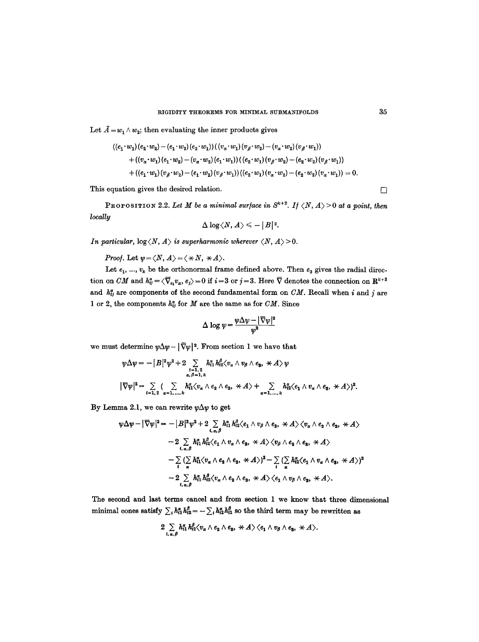Let  $\tilde{A} = w_1 \wedge w_2$ ; then evaluating the inner products gives

$$
\begin{aligned} \left((e_1\cdot w_1)(e_2\cdot w_2)-(e_1\cdot w_2)(e_2\cdot w_1)\right)&\left((v_x\cdot w_1)(v_\beta\cdot w_2)-(v_x\cdot w_2)(v_\beta\cdot w_1)\right)\\ &+\left((v_x\cdot w_1)(e_1\cdot w_2)-(v_x\cdot w_2)(e_1\cdot w_1)\right)&\left((e_2\cdot w_1)(v_\beta\cdot w_2)-(e_2\cdot w_2)(v_\beta\cdot w_1)\right)\\ &+\left((e_1\cdot w_1)(v_\beta\cdot w_2)-(e_1\cdot w_2)(v_\beta\cdot w_1)\right)&\left((e_2\cdot w_1)(v_x\cdot w_2)-(e_2\cdot w_2)(v_x\cdot w_1)\right)=0.\end{aligned}
$$

This equation gives the desired relation.  $\Box$ 

PROPOSITION 2.2. Let M be a minimal surface in  $S^{k+2}$ . If  $\langle N, A \rangle > 0$  at a point, then *locally* 

$$
\Delta \log \langle N, A \rangle \leqslant -\, \big|\, B\big|^{2}.
$$

*In particular,*  $log \langle N, A \rangle$  *is superharmonic wherever*  $\langle N, A \rangle > 0$ .

*Proof.* Let  $\psi = \langle N, A \rangle = \langle \star N, \star A \rangle$ .

Let  $e_1, ..., v_k$  be the orthonormal frame defined above. Then  $e_3$  gives the radial direction on *CM* and  $h_{ij}^{\alpha} = \langle \overline{\nabla}_{e_i} v_{\alpha}, e_j \rangle = 0$  if  $i = 3$  or  $j = 3$ . Here  $\overline{\nabla}$  denotes the connection on  $\mathbb{R}^{k+3}$ and  $h^{\alpha}_{ij}$  are components of the second fundamental form on *CM*. Recall when i and j are 1 or 2, the components  $h^{\alpha}_{ij}$  for M are the same as for *CM*. Since

$$
\Delta \log \psi = \frac{\psi \Delta \psi - |\nabla \psi|^2}{\psi^2}
$$

we must determine  $\psi \Delta \psi - |\bar{\nabla} \psi|^2$ . From section 1 we have that

$$
\begin{aligned}\n\psi \Delta \psi &= -|B|^2 \psi^2 + 2 \sum_{\substack{i=1,2 \\ \alpha,\beta=1,k}} h_{i1}^\alpha h_{i2}^\beta \langle v_\alpha \wedge v_\beta \wedge e_3, \ \ \forall A \rangle \psi \\
|\nabla \psi|^2 &= \sum_{i=1,2} \left( \sum_{\alpha=1,\dots,k} h_{i1}^\alpha \langle v_\alpha \wedge e_2 \wedge e_3, \ \ \forall A \rangle + \sum_{\alpha=1,\dots,k} h_{i2}^\alpha \langle e_1 \wedge v_\alpha \wedge e_3, \ \ \forall A \rangle \right)^2.\n\end{aligned}
$$

By Lemma 2.1, we can rewrite  $\psi \Delta \psi$  to get

$$
\psi \Delta \psi - |\nabla \psi|^2 = -|B|^2 \psi^2 + 2 \sum_{\mathbf{i}, \alpha, \beta} h_{\mathbf{i}1}^{\alpha} h_{\mathbf{i}2}^{\beta} \langle e_1 \wedge v_{\beta} \wedge e_3, \times A \rangle \langle v_{\alpha} \wedge e_2 \wedge e_3, \times A \rangle
$$
  
\n
$$
-2 \sum_{\mathbf{i}, \alpha, \beta} h_{\mathbf{i}1}^{\alpha} h_{\mathbf{i}2}^{\beta} \langle e_1 \wedge v_{\alpha} \wedge e_3, \times A \rangle \langle v_{\beta} \wedge e_3 \wedge e_3, \times A \rangle
$$
  
\n
$$
- \sum_{\mathbf{i}} (\sum_{\alpha} h_{\mathbf{i}1}^{\alpha} \langle v_{\alpha} \wedge e_2 \wedge e_3, \times A \rangle)^2 - \sum_{\mathbf{i}} (\sum_{\alpha} h_{\mathbf{i}2}^{\alpha} \langle e_1 \wedge v_{\alpha} \wedge e_3, \times A \rangle)^2
$$
  
\n
$$
-2 \sum_{\mathbf{i}, \alpha, \beta} h_{\mathbf{i}1}^{\alpha} h_{\mathbf{i}2}^{\beta} \langle v_{\alpha} \wedge e_3 \wedge e_3, \times A \rangle \langle e_1 \wedge v_{\beta} \wedge e_3, \times A \rangle.
$$

The second and last terms cancel and from section 1 we know that three dimensional minimal cones satisfy  $\sum_i h_{i1}^{\alpha} h_{i2}^{\beta} = -\sum_i h_{i2}^{\alpha} h_{i1}^{\beta}$  so the third term may be rewritten as

$$
2\sum_{i,\alpha,\beta}h_{i1}^{\alpha}h_{i2}^{\beta}\langle v_{\alpha}\wedge e_{2}\wedge e_{3},\ \ \forall A\rangle\langle e_{1}\wedge v_{\beta}\wedge e_{3},\ \ \forall A\rangle.
$$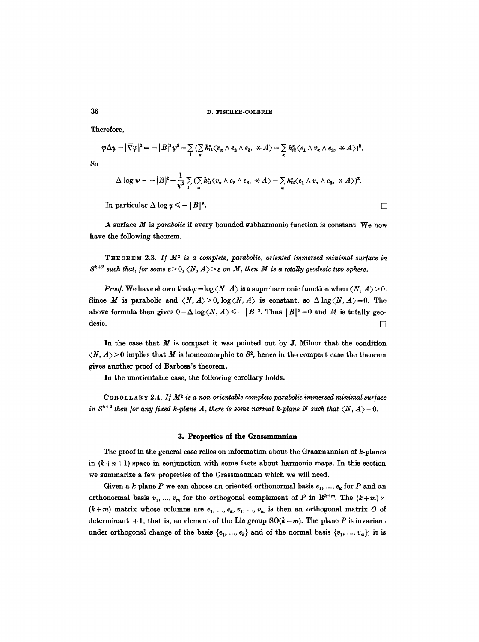Therefore,

$$
\psi \Delta \psi - |\nabla \psi|^2 = - |B|^2 \psi^2 - \sum_i (\sum_{\alpha} h_{i1}^{\alpha} \langle v_{\alpha} \wedge e_2 \wedge e_3, \times A \rangle - \sum_{\alpha} h_{i2}^{\alpha} \langle e_1 \wedge v_{\alpha} \wedge e_3, \times A \rangle)^2.
$$

$$
\Delta \log \psi = - |B|^2 - \frac{1}{\psi^2} \sum_i \left( \sum_{\alpha} h_{i1}^{\alpha} \langle v_{\alpha} \wedge e_2 \wedge e_3, \ \ \forall A \rangle - \sum_{\alpha} h_{i2}^{\alpha} \langle e_1 \wedge v_{\alpha} \wedge e_3, \ \ \forall A \rangle \right)^2.
$$

In particular  $\Delta \log w \le -|B|^2$ .

A surface M is *parabolic if* every bounded subharmonic function is constant. We now have the following theorem.

THEOREM 2.3. If  $M^2$  is a complete, parabolic, oriented immersed minimal surface in  $S^{k+2}$  such that, for some  $\varepsilon > 0$ ,  $\langle N, A \rangle > \varepsilon$  on M, then M is a totally geodesic two-sphere.

*Proof.* We have shown that  $\varphi = \log \langle N, A \rangle$  is a superharmonic function when  $\langle N, A \rangle > 0$ . Since M is parabolic and  $\langle N, A \rangle > 0$ ,  $\log \langle N, A \rangle$  is constant, so  $\Delta \log \langle N, A \rangle = 0$ . The above formula then gives  $0 = \Delta \log \langle N, A \rangle \le -|B|^2$ . Thus  $|B|^2 = 0$  and M is totally geodesic.  $\Box$ 

In the case that  $M$  is compact it was pointed out by  $J$ . Milnor that the condition  $\langle N, A \rangle > 0$  implies that M is homeomorphic to  $S<sup>2</sup>$ , hence in the compact case the theorem gives another proof of Barbosa's theorem.

In the unorientable case, the following corollary holds.

COROLLARY 2.4. If  $M^2$  is a non-orientable complete parabolic immersed minimal surface *in*  $S^{k+2}$  then for any fixed k-plane A, there is some normal k-plane N such that  $\langle N, A \rangle = 0$ .

#### **3. Properties of the Grassmannian**

The proof in the general case relies on information about the Grassmannian of  $k$ -planes in  $(k+n+1)$ -space in conjunction with some facts about harmonic maps. In this section we summarize a few properties of the Grassmannian which we will need.

Given a k-plane P we can choose an oriented orthonormal basis  $e_1, ..., e_k$  for P and an orthonormal basis  $v_1, ..., v_m$  for the orthogonal complement of P in  $\mathbb{R}^{k+m}$ . The  $(k+m) \times$  $(k+m)$  matrix whose columns are  $e_1, ..., e_k, v_1, ..., v_m$  is then an orthogonal matrix O of determinant  $+1$ , that is, an element of the Lie group  $SO(k+m)$ . The plane P is invariant under orthogonal change of the basis  $\{e_1, ..., e_k\}$  and of the normal basis  $\{v_1, ..., v_m\}$ ; it is

So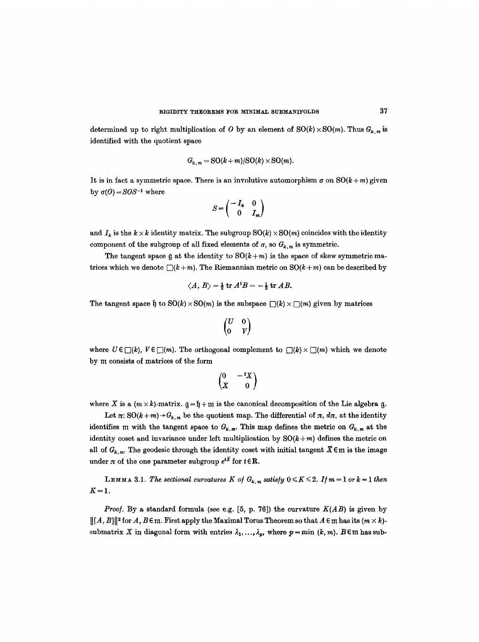determined up to right multiplication of O by an element of  $SO(k) \times SO(m)$ . Thus  $G_{k,m}$  is identified with the quotient space

$$
G_{k,m} = SO(k+m)/SO(k) \times SO(m).
$$

It is in fact a symmetric space. There is an involutive automorphism  $\sigma$  on  $SO(k+m)$  given by  $\sigma(0) = SOS^{-1}$  where

$$
S = \begin{pmatrix} -I_k & 0 \\ 0 & I_m \end{pmatrix}
$$

and  $I_k$  is the  $k \times k$  identity matrix. The subgroup  $\mathrm{SO}(k) \times \mathrm{SO}(m)$  coincides with the identity component of the subgroup of all fixed elements of  $\sigma$ , so  $G_{k,m}$  is symmetric.

The tangent space  $\mathfrak g$  at the identity to  $\mathrm{SO}(k+m)$  is the space of skew symmetric matrices which we denote  $\Box(k+m)$ . The Riemannian metric on  $SO(k+m)$  can be described by

$$
\langle A, B \rangle = \frac{1}{2} \operatorname{tr} A^t B = -\frac{1}{2} \operatorname{tr} AB.
$$

The tangent space  $\mathfrak{h}$  to  $\mathrm{SO}(k) \times \mathrm{SO}(m)$  is the subspace  $\Box(k) \times \Box(m)$  given by matrices

$$
\begin{pmatrix} U & 0 \\ 0 & V \end{pmatrix}
$$

where  $U \in \Box(k)$ ,  $V \in \Box(m)$ . The orthogonal complement to  $\Box(k) \times \Box(m)$  which we denote by 111 consists of matrices of the form

$$
\begin{pmatrix} 0 & -\,^t X \\ X & 0 \end{pmatrix}
$$

where X is a  $(m \times k)$ -matrix,  $q = \mathfrak{h} + \mathfrak{m}$  is the canonical decomposition of the Lie algebra q.

Let  $\pi: SO(k+m) \rightarrow G_{k,m}$  be the quotient map. The differential of  $\pi$ ,  $d\pi$ , at the identity identifies m with the tangent space to  $G_{k,m}$ . This map defines the metric on  $G_{k,m}$  at the identity coset and invariance under left multiplication by  $SO(k+m)$  defines the metric on all of  $G_{k,m}$ . The geodesic through the identity coset with initial tangent  $\mathcal{X} \in \mathfrak{m}$  is the image under  $\pi$  of the one parameter subgroup  $e^{t\overline{X}}$  for  $t \in \mathbb{R}$ .

**LEMMA 3.1.** The sectional curvatures K of  $G_{k,m}$  satisfy  $0 \le K \le 2$ . If  $m = 1$  or  $k = 1$  then  $K=1$ .

*Proof.* By a standard formula (see e.g.  $[5, p. 76]$ ) the curvature  $K(AB)$  is given by  $\|[A, B]\|^2$  for  $A, B \in \mathfrak{m}$ . First apply the Maximal Torus Theorem so that  $A \in \mathfrak{m}$  has its  $(m \times k)$ submatrix X in diagonal form with entries  $\lambda_1, \ldots, \lambda_p$ , where  $p = \min (k, m)$ . B  $\in \mathfrak{m}$  has sub-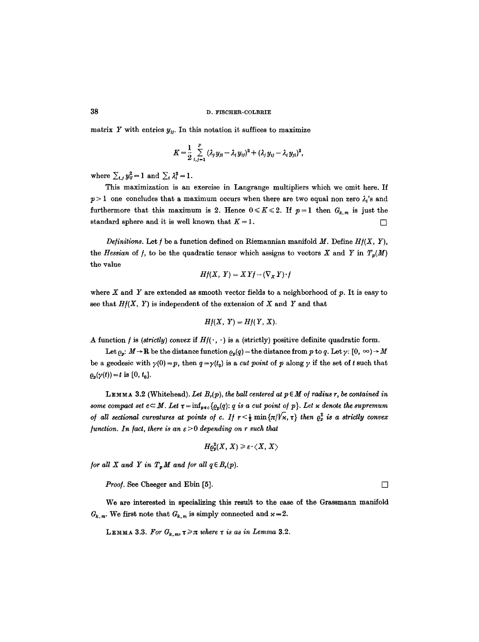matrix Y with entries  $y_{ij}$ . In this notation it suffices to maximize

$$
K = \frac{1}{2} \sum_{i,j=1}^{P} (\lambda_j y_{ji} - \lambda_i y_{ij})^2 + (\lambda_j y_{ij} - \lambda_i y_{ji})^2,
$$

where  $\sum_{i,j} y_{ij}^2 = 1$  and  $\sum_{i} \lambda_i^2 = 1$ .

This maximization is an exercise in Langrange multipliers which we omit here. If  $p>1$  one concludes that a maximum occurs when there are two equal non zero  $\lambda_i$ 's and furthermore that this maximum is 2. Hence  $0 \le K \le 2$ . If  $p=1$  then  $G_{k,m}$  is just the standard sphere and it is well known that  $K = 1$ .

*Definitions.* Let  $f$  be a function defined on Riemannian manifold  $M$ . Define  $Hf(X, Y)$ , the *Hessian* of *f*, to be the quadratic tensor which assigns to vectors X and Y in  $T_p(M)$ the value

$$
Hf(X, Y) = XYf - (\nabla_X Y) \cdot f
$$

where  $X$  and  $Y$  are extended as smooth vector fields to a neighborhood of  $p$ . It is easy to see that  $H(X, Y)$  is independent of the extension of X and Y and that

$$
Hf(X, Y) = Hf(Y, X).
$$

A function f is *(strictly) convex* if  $Hf(\cdot, \cdot)$  is a *(strictly) positive definite quadratic form.* 

Let  $\rho_p: M \to \mathbb{R}$  be the distance function  $\rho_p(q) =$  the distance from p to q. Let  $\gamma: [0, \infty) \to M$ be a geodesic with  $\gamma(0) = p$ , then  $q = \gamma(t_0)$  is a *cut point* of p along  $\gamma$  if the set of t such that  $\varrho_p(\gamma(t)) = t$  is  $[0, t_0].$ 

LEMMA 3.2 (Whitehead). Let  $B_r(p)$ , the ball centered at  $p \in M$  of radius r, be contained in *some compact set*  $c \subset M$ . Let  $\tau = \inf_{p \in c} \{Q_p(q): q \text{ is a cut point of } p\}$ . Let x denote the supremum *of all sectional curvatures at points of c. If*  $r < \frac{1}{2}$  min $\{\pi/\sqrt{x}, \tau\}$  *then*  $\rho_p^2$  *is a strictly convex function. In fact, there is an*  $\varepsilon > 0$  *depending on r such that* 

$$
H\varrho^{2}_{p}(X,\,X)\geqslant \varepsilon \cdot\langle X,\,X\rangle
$$

*for all X and Y in*  $T_pM$  *and for all*  $q \in B_r(p)$ *.* 

*Proof.* See Cheeger and Ebin  $[5]$ .

We are interested in specializing this result to the case of the Grassmann manifold  $G_{k,m}$ . We first note that  $G_{k,m}$  is simply connected and  $\varkappa = 2$ .

LEMMA 3.3. For  $G_{k,m}$ ,  $\tau \geq \pi$  where  $\tau$  is as in Lemma 3.2.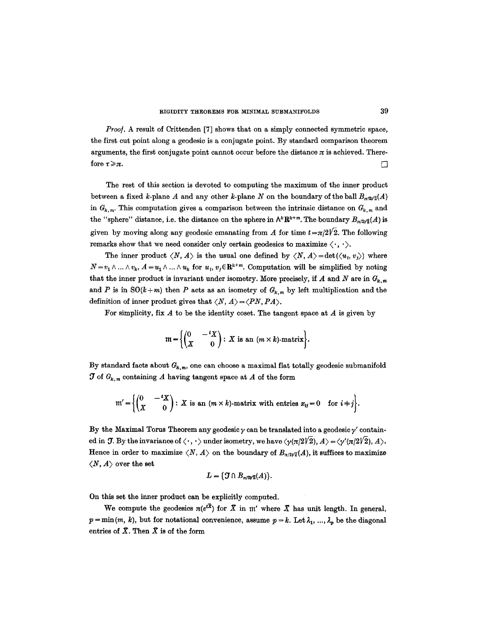*Proof.* A result of Crittenden [7] shows that on a simply connected symmetric space, the first cut point along a geodesic is a conjugate point. By standard comparison theorem arguments, the first conjugate point cannot occur before the distance  $\pi$  is achieved. Therefore  $\tau \geqslant \pi$ .

The rest of this section is devoted to computing the maximum of the inner product between a fixed k-plane A and any other k-plane N on the boundary of the ball  $B_{\pi/2\sqrt{2}}(A)$ in  $G_{k,m}$ . This computation gives a comparison between the intrinsic distance on  $G_{k,m}$  and the "sphere" distance, i.e. the distance on the sphere in  $\Lambda^k \mathbf{R}^{k+m}$ . The boundary  $B_{\pi/2\sqrt{2}}(A)$  is given by moving along any geodesic emanating from A for time  $t = \pi/2\sqrt{2}$ . The following remarks show that we need consider only certain geodesics to maximize  $\langle \cdot, \cdot \rangle$ .

The inner product  $\langle N, A \rangle$  is the usual one defined by  $\langle N, A \rangle = \det(\langle u_i, v_i \rangle)$  where  $N = v_1 \wedge ... \wedge v_k$ ,  $A = u_1 \wedge ... \wedge u_k$  for  $u_i, v_j \in \mathbb{R}^{k+m}$ . Computation will be simplified by noting that the inner product is invariant under isometry. More precisely, if A and N are in  $G_{k,m}$ and P is in  $SO(k+m)$  then P acts as an isometry of  $G_{k,m}$  by left multiplication and the definition of inner product gives that  $\langle N, A \rangle = \langle PN, PA \rangle$ .

For simplicity, fix  $A$  to be the identity coset. The tangent space at  $A$  is given by

$$
\mathfrak{m} = \left\{ \begin{pmatrix} 0 & -\,tX \\ X & 0 \end{pmatrix} : X \text{ is an } (m \times k)\text{-matrix} \right\}.
$$

By standard facts about  $G_{k,m}$ , one can choose a maximal flat totally geodesic submanifold  $J$  of  $G_{k,m}$  containing A having tangent space at A of the form

$$
\mathfrak{m}' = \left\{ \begin{pmatrix} 0 & -\,t\boldsymbol{X} \\ \boldsymbol{X} & 0 \end{pmatrix} : \boldsymbol{X} \text{ is an } (m \times k) \text{-matrix with entries } x_{ij} = 0 \quad \text{for } i + j \right\}.
$$

By the Maximal Torus Theorem any geodesic  $\gamma$  can be translated into a geodesic  $\gamma'$  contained in  $\mathcal{T}$ . By the invariance of  $\langle \cdot, \cdot \rangle$  under isometry, we have  $\langle \gamma(\pi/2\sqrt{2}), A \rangle = \langle \gamma'(\pi/2\sqrt{2}), A \rangle$ . Hence in order to maximize  $\langle N, A \rangle$  on the boundary of  $B_{n/2\sqrt{2}}(A)$ , it suffices to maximize  $\langle N, A \rangle$  over the set

$$
L=\{\mathfrak{J}\cap B_{n/2\sqrt{2}}(A)\}.
$$

On this set the inner product can be explicitly computed.

We compute the geodesics  $\pi(e^{t\bar{x}})$  for X in m' where X has unit length. In general,  $p = \min(m, k)$ , but for notational convenience, assume  $p = k$ . Let  $\lambda_1, \ldots, \lambda_p$  be the diagonal entries of  $X$ . Then  $X$  is of the form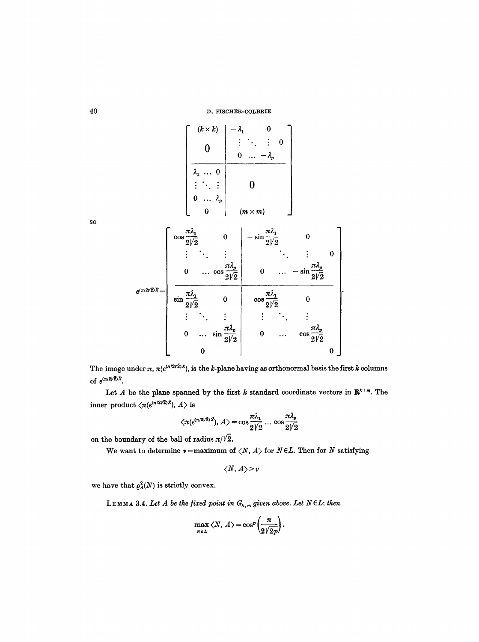$$
e^{(\pi/2/\bar{z})\bar{x}} = \begin{bmatrix} i k \times k & -\lambda_1 & 0 \\ 0 & \vdots & \ddots & \vdots & 0 \\ \hline \lambda_1 & \dots & 0 & & \\ \vdots & \ddots & \vdots & & 0 \\ 0 & \dots & \lambda_p & & \\ 0 & \dots & \lambda_p & & \\ 0 & \dots & \lambda_p & & \\ \vdots & \ddots & \vdots & & \ddots & \vdots \\ \hline \cos \frac{\pi \lambda_1}{2\sqrt{2}} & 0 & -\sin \frac{\pi \lambda_1}{2\sqrt{2}} & 0 \\ \vdots & \ddots & \vdots & & \ddots & \vdots \\ 0 & \dots & \cos \frac{\pi \lambda_p}{2\sqrt{2}} & 0 & \cos \frac{\pi \lambda_1}{2\sqrt{2}} & 0 \\ \vdots & \ddots & \vdots & & \vdots & \ddots & \vdots \\ 0 & \dots & \sin \frac{\pi \lambda_p}{2\sqrt{2}} & 0 & \dots & \cos \frac{\pi \lambda_p}{2\sqrt{2}} \\ 0 & \dots & \cos \frac{\pi \lambda_p}{2\sqrt{2}} & 0 & \dots & \cos \frac{\pi \lambda_p}{2\sqrt{2}} \\ 0 & 0 & \dots & 0 & 0 \end{bmatrix}
$$

SO

The image under  $\pi$ ,  $\pi(e^{(\pi/2\sqrt{2})\tilde{X}})$ , is the k-plane having as orthonormal basis the first k columns of  $e^{(\pi/2\sqrt{2})\bar{X}}$ .

Let A be the plane spanned by the first k standard coordinate vectors in  $\mathbb{R}^{k+m}$ . The inner product  $\langle \pi(e^{(\pi/2\sqrt{2})\tilde{X}}), A \rangle$  is

$$
\langle \pi(e^{(\pi/2\sqrt{2})\bar{X}}), A \rangle = \cos \frac{\pi \lambda_1}{2\sqrt{2}} \dots \cos \frac{\pi \lambda_p}{2\sqrt{2}}
$$

on the boundary of the ball of radius  $\pi/\sqrt{2}$ .

We want to determine  $\nu =$  maximum of  $\langle N, A \rangle$  for  $N \in L$ . Then for N satisfying

$$
\langle N, A \rangle > \nu
$$

we have that  $\varrho^2_A(N)$  is strictly convex.

LEMMA 3.4. Let A be the fixed point in  $G_{k,m}$  given above. Let  $N \in L$ ; then

$$
\max_{N\in L} \langle N, A\rangle = \cos^p\left(\frac{\pi}{2\sqrt{2p}}\right).
$$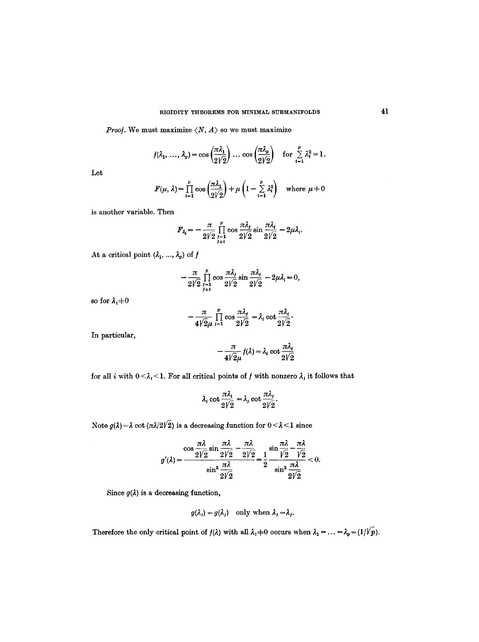*Proof.* We must maximize  $\langle N, A \rangle$  so we must maximize

$$
f(\lambda_1, ..., \lambda_p) = \cos\left(\frac{\pi \lambda_1}{2\sqrt{2}}\right) \dots \cos\left(\frac{\pi \lambda_p}{2\sqrt{2}}\right) \text{ for } \sum_{i=1}^p \lambda_i^2 = 1.
$$

Let

$$
F(\mu, \lambda) = \prod_{i=1}^{p} \cos\left(\frac{\pi \lambda_1}{2\sqrt{2}}\right) + \mu \left(1 - \sum_{i=1}^{p} \lambda_i^2\right) \quad \text{where } \mu \neq 0
$$

is another variable. Then

$$
F_{\lambda_i} = -\frac{\pi}{2\sqrt{2}} \prod_{\substack{j=1 \ j \neq i}}^p \cos \frac{\pi \lambda_j}{2\sqrt{2}} \sin \frac{\pi \lambda_i}{2\sqrt{2}} - 2\mu \lambda_i.
$$

At a critical point  $(\lambda_1, ..., \lambda_p)$  of  $f$ 

$$
-\frac{\pi}{2V^2}\prod_{\substack{j=1\\j\neq i}}^p\cos\frac{\pi\lambda_j}{2V^2}\sin\frac{\pi\lambda_i}{2V^2}-2\mu\lambda_i=0,
$$

so for  $\lambda_i{+}0$ 

$$
-\frac{\pi}{4\sqrt{2}\mu}\prod_{i=1}^p\cos\frac{\pi\lambda_i}{2\sqrt{2}}=\lambda_i\cot\frac{\pi\lambda_i}{2\sqrt{2}}.
$$

In particular,

$$
-\frac{\pi}{4\sqrt{2}\mu}f(\lambda)=\lambda_i\cot\frac{\pi\lambda_i}{2\sqrt{2}}
$$

for all i with  $0 \leq \lambda_i \leq 1$ . For all critical points of f with nonzero  $\lambda_i$  it follows that

$$
\lambda_i \cot \frac{\pi \lambda_i}{2\sqrt{2}} = \lambda_j \cot \frac{\pi \lambda_j}{2\sqrt{2}}.
$$

Note  $g(\lambda) = \lambda \cot (\pi \lambda/2\sqrt{2})$  is a decreasing function for  $0 < \lambda < 1$  since

$$
g'(\lambda) = \frac{\cos \frac{\pi \lambda}{2\sqrt{2}} \sin \frac{\pi \lambda}{2\sqrt{2}} - \frac{\pi \lambda}{2\sqrt{2}}}{\sin^2 \frac{\pi \lambda}{2\sqrt{2}}} = \frac{1}{2} \frac{\sin \frac{\pi \lambda}{\sqrt{2}} - \frac{\pi \lambda}{\sqrt{2}}}{\sin^2 \frac{\pi \lambda}{2\sqrt{2}}} < 0.
$$

Since  $g(\lambda)$  is a decreasing function,

$$
g(\lambda_i) = g(\lambda_j)
$$
 only when  $\lambda_i = \lambda_j$ .

Therefore the only critical point of  $f(\lambda)$  with all  $\lambda_i \neq 0$  occurs when  $\lambda_1 = \ldots = \lambda_p = (1/\sqrt{p})$ .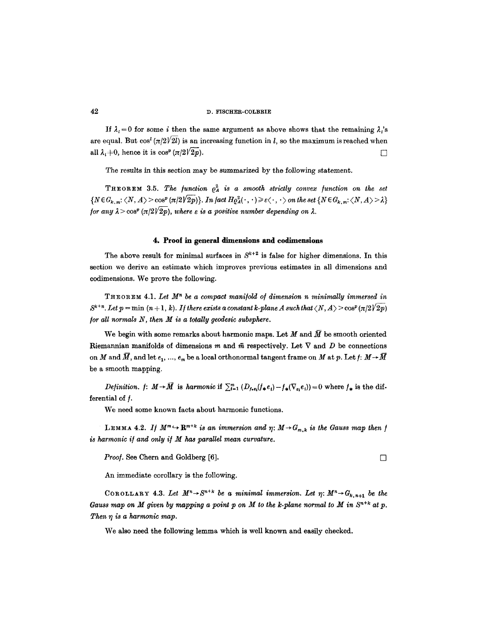If  $\lambda_i = 0$  for some i then the same argument as above shows that the remaining  $\lambda_i$ 's are equal. But  $\cos^l(\pi/2\sqrt{2l})$  is an increasing function in l, so the maximum is reached when all  $\lambda_i \pm 0$ , hence it is  $\cos^p (\pi/2\sqrt{2p})$ .

The results in this section may be summarized by the following statement.

**THEOREM** 3.5. The function  $\rho_A^2$  is a smooth strictly convex function on the set  $\{N \in G_{k,m}: \langle N, A \rangle > \cos^p(\pi/2\sqrt{2p})\}.$  *In fact*  $H_{{\cal Q}^2}( \cdot, \cdot) \geq \varepsilon \langle \cdot, \cdot \rangle$  on the set  $\{N \in G_{k,m}: \langle N, A \rangle > \lambda\}$ *for any*  $\lambda > \cos^p (\pi/2\sqrt{2p})$ *, where*  $\varepsilon$  *is a positive number depending on*  $\lambda$ *.* 

# **4. Proof in general dimensions and eodimensions**

The above result for minimal surfaces in  $S^{k+2}$  is false for higher dimensions. In this section we derive an estimate which improves previous estimates in all dimensions and oodimensions. We prove the following.

THEOREM 4.1. Let  $M<sup>n</sup>$  be a compact manifold of dimension n minimally immersed in  $S^{k+n}$ . Let  $p = \min (n + 1, k)$ . If there exists a constant k-plane A such that  $\langle N, A \rangle > \cos^p(\pi/2\sqrt{2p})$ */or all normals N, then M is a totally geodesic subsphere.* 

We begin with some remarks about harmonic maps. Let M and  $\bar{M}$  be smooth oriented Riemannian manifolds of dimensions m and  $\bar{m}$  respectively. Let  $\nabla$  and D be connections on M and  $\bar{M}$ , and let  $e_1, ..., e_m$  be a local orthonormal tangent frame on M at p. Let  $f: M \rightarrow \bar{M}$ be a smooth mapping.

*Definition. f:*  $M \rightarrow \overline{M}$  is *harmonic* if  $\sum_{i=1}^{m} (D_{f_{\bullet}e_i}(f_{\ast}e_i) - f_{\ast}(\nabla_{e_i}e_i)) = 0$  where  $f_{\ast}$  is the differential of *.* 

We need some known facts about harmonic functions.

LEMMA 4.2. *If*  $M^m \hookrightarrow \mathbb{R}^{m+k}$  is an immersion and  $\eta: M \rightarrow G_{m,k}$  is the Gauss map then *f is harmonic i/and only i/M has parallel mean curvature.* 

*Proof.* See Chern and Goldberg [6]. □

An immediate corollary is the following.

COROLLARY 4.3. Let  $M^n \rightarrow S^{n+k}$  be a minimal immersion. Let  $\eta: M^n \rightarrow G_{k,n+1}$  be the *Gauss map on M given by mapping a point p on M to the k-plane normal to M in*  $S^{n+k}$  *at p. Then*  $\eta$  is a harmonic map.

We also need the following lemma which is well known and easily checked.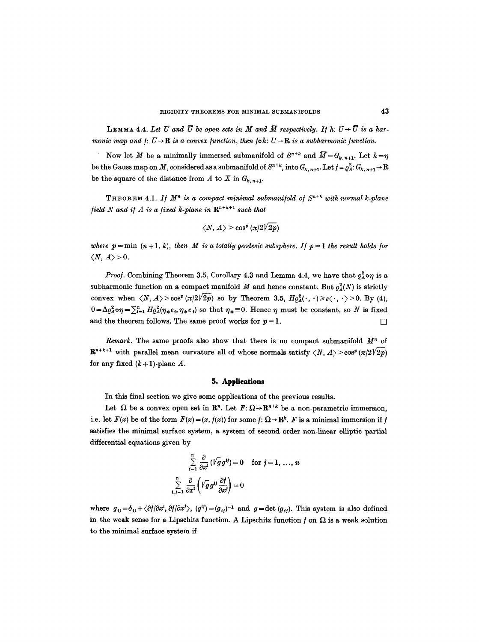**LEMMA 4.4.** Let U and  $\overline{U}$  be open sets in M and  $\overline{M}$  respectively. If h:  $U \rightarrow \overline{U}$  is a har*monic map and*  $f: \overline{U} \rightarrow \mathbb{R}$  *is a convex function, then*  $f \circ h: U \rightarrow \mathbb{R}$  *is a subharmonic function.* 

Now let M be a minimally immersed submanifold of  $S^{n+k}$  and  $\overline{M}=G_{k,n+1}$ . Let  $h=\eta$ be the Gauss map on M, considered as a submanifold of  $S^{n+k}$ , into  $G_{k, n+1}$ . Let  $f = \varrho_A^2: G_{k, n+1} \to \mathbb{R}$ be the square of the distance from A to X in  $G_{k,n+1}$ .

THEOREM 4.1. If  $M^n$  is a compact minimal submanifold of  $S^{n+k}$  with normal k-plane *field N and if A is a fixed k-plane in*  $\mathbb{R}^{n+k+1}$  *such that* 

$$
\left\langle N,A\right\rangle\geq\cos^p\left(\pi/2\sqrt{2p}\right)
$$

where  $p = \min (n + 1, k)$ , then M is a totally geodesic subsphere. If  $p = 1$  the result holds for  $\langle N, A \rangle > 0.$ 

*Proof.* Combining Theorem 3.5, Corollary 4.3 and Lemma 4.4, we have that  $\rho_A^2 \circ \eta$  is a subharmonic function on a compact manifold M and hence constant. But  $\rho_A^2(N)$  is strictly convex when  $\langle N, A \rangle > \cos^p(\pi/2\sqrt{2p})$  so by Theorem 3.5,  $H\rho^2(\cdot, \cdot) \geq \varepsilon \langle \cdot, \cdot \rangle > 0$ . By (4),  $0=\Delta a^2_{\alpha}$ **o** $\eta=\sum_{i=1}^n H^2_{\alpha}(\eta_i,e_i,\eta_i,e_i)$  so that  $\eta_i=0$ . Hence  $\eta$  must be constant, so N is fixed and the theorem follows. The same proof works for  $p = 1$ .

*Remark.* The same proofs also show that there is no compact submanifold  $M<sup>n</sup>$  of  $\mathbb{R}^{n+k+1}$  with parallel mean curvature all of whose normals satisfy  $\langle N, A \rangle > \cos^p(\pi/2\sqrt{2p})$ for any fixed  $(k+1)$ -plane A.

## **5. Applications**

In this final section we give some applications of the previous results.

Let  $\Omega$  be a convex open set in  $\mathbb{R}^n$ . Let  $F: \Omega \to \mathbb{R}^{n+k}$  be a non-parametric immersion, i.e. let  $F(x)$  be of the form  $F(x) = (x, f(x))$  for some  $f: \Omega \to \mathbb{R}^k$ . F is a minimal immersion if f satisfies the minimal surface system, a system of second order non-linear elliptic partial differential equations given by

$$
\sum_{i=1}^{n} \frac{\partial}{\partial x^{i}} (\sqrt{g} g^{ij}) = 0 \text{ for } j = 1, ..., n
$$
  

$$
\sum_{i,j=1}^{n} \frac{\partial}{\partial x^{i}} (\sqrt{g} g^{ij} \frac{\partial f}{\partial x^{j}}) = 0
$$

where  $g_{ij}=\delta_{ij}+\langle \partial f/\partial x^i, \partial f/\partial x^j \rangle$ ,  $(g^{ij})=(g_{ij})^{-1}$  and  $g=\det (g_{ij})$ . This system is also defined in the weak sense for a Lipschitz function. A Lipschitz function  $f$  on  $\Omega$  is a weak solution to the minimal surface system if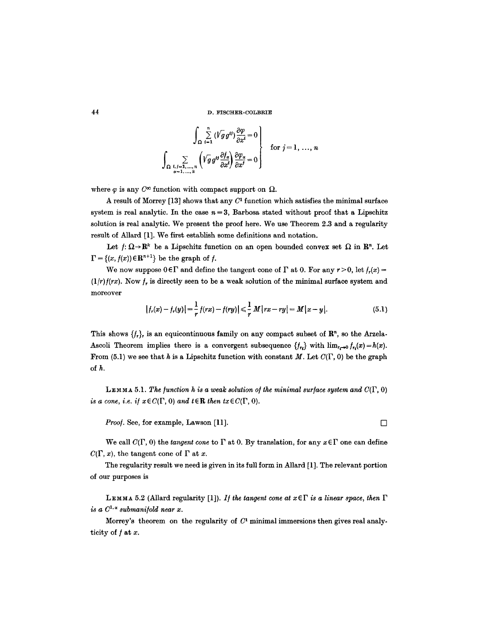$$
\int_{\Omega} \sum_{i=1}^{n} (\sqrt{g} g^{ij}) \frac{\partial \varphi}{\partial x^{i}} = 0
$$
\n
$$
\int_{\Omega} \sum_{\substack{i,j=1,\dots,n \\ \alpha=1,\dots,k}} \left( \sqrt{g} g^{ij} \frac{\partial f_{\alpha}}{\partial x^{i}} \right) \frac{\partial \varphi_{\alpha}}{\partial x^{j}} = 0
$$
\nfor  $j = 1, \dots, n$ 

where  $\varphi$  is any  $C^{\infty}$  function with compact support on  $\Omega$ .

A result of Morrey  $[13]$  shows that any  $C<sup>1</sup>$  function which satisfies the minimal surface system is real analytic. In the case  $n = 3$ , Barbosa stated without proof that a Lipschitz solution is real analytic. We present the proof here. We use Theorem 2.3 and a regularity result of Allard [1]. We first establish some definitions and notation.

Let  $f: \Omega \to \mathbb{R}^k$  be a Lipschitz function on an open bounded convex set  $\Omega$  in  $\mathbb{R}^n$ . Let  $\Gamma = \{(x, f(x)) \in \mathbb{R}^{n+1}\}\)$  be the graph of f.

We now suppose  $0 \in \Gamma$  and define the tangent cone of  $\Gamma$  at 0. For any  $r > 0$ , let  $f_r(x) =$  $(1/r)f(rx)$ . Now  $f<sub>r</sub>$  is directly seen to be a weak solution of the minimal surface system and moreover

$$
|f_r(x) - f_r(y)| = \frac{1}{r} f(rx) - f(ry)| \leq \frac{1}{r} M |rx - ry| = M |x - y|.
$$
 (5.1)

This shows  $\{f_r\}$  is an equicontinuous family on any compact subset of  $\mathbb{R}^n$ , so the Arzela-Ascoli Theorem implies there is a convergent subsequence  $\{f_n\}$  with  $\lim_{n\to 0} f_n(x) = h(x)$ . From (5.1) we see that h is a Lipschitz function with constant M. Let  $C(\Gamma, 0)$  be the graph of h.

LEMMA 5.1. The function h is a weak solution of the minimal surface system and  $C(\Gamma, 0)$ *is a cone, i.e. if*  $x \in C(\Gamma, 0)$  *and t* $\in \mathbb{R}$  *then tx* $\in C(\Gamma, 0)$ *.* 

*Proof.* See, for example, Lawson [11].  $\Box$ 

We call  $C(\Gamma, 0)$  the *tangent cone* to  $\Gamma$  at 0. By translation, for any  $x \in \Gamma$  one can define  $C(\Gamma, x)$ , the tangent cone of  $\Gamma$  at x.

The regularity result we need is given in its full form in Allard [1]. The relevant portion of our purposes is

LEMMA 5.2 (Allard regularity [1]). *If the tangent cone at*  $x \in \Gamma$  *is a linear space, then*  $\Gamma$ *is a*  $C^{1,\alpha}$  *submanifold near x.* 

Morrey's theorem on the regularity of  $C<sup>1</sup>$  minimal immersions then gives real analyticity of  $f$  at  $x$ .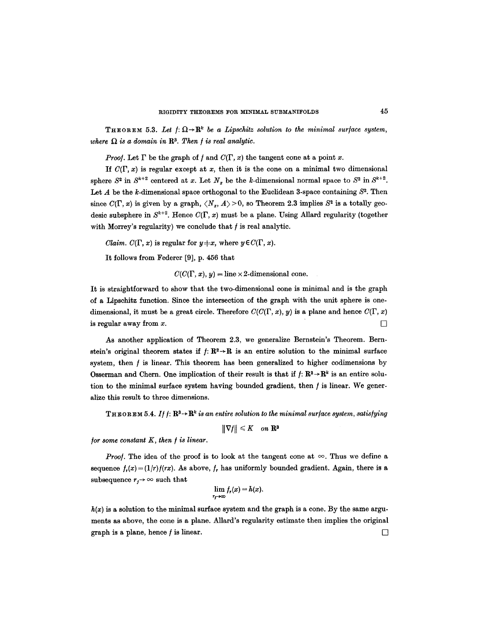THEOREM 5.3. Let  $f: \Omega \to \mathbb{R}^k$  be a Lipschitz solution to the minimal surface system, where  $\Omega$  is a domain in  $\mathbb{R}^3$ . Then *f* is real analytic.

*Proof.* Let  $\Gamma$  be the graph of f and  $C(\Gamma, x)$  the tangent cone at a point x.

If  $C(\Gamma, x)$  is regular except at x, then it is the cone on a minimal two dimensional sphere  $S^2$  in  $S^{k+2}$  centered at x. Let  $N_x$  be the k-dimensional normal space to  $S^2$  in  $S^{k+2}$ . Let A be the k-dimensional space orthogonal to the Euclidean 3-space containing  $S<sup>2</sup>$ . Then since  $C(\Gamma, x)$  is given by a graph,  $\langle N_x, A \rangle > 0$ , so Theorem 2.3 implies  $S^2$  is a totally geodesic subsphere in  $S^{k+2}$ . Hence  $C(\Gamma, x)$  must be a plane. Using Allard regularity (together with Morrey's regularity) we conclude that  $f$  is real analytic.

*Claim.*  $C(\Gamma, x)$  is regular for  $y \neq x$ , where  $y \in C(\Gamma, x)$ .

It follows from Federer [9], p. 456 that

 $C(C(\Gamma, x), y) = \text{line} \times 2$ -dimensional cone.

It is straightforward to show that the two-dimensional cone is minimal and is the graph of a Lipschitz function. Since the intersection of the graph with the unit sphere is onedimensional, it must be a great circle. Therefore  $C(C(\Gamma, x), y)$  is a plane and hence  $C(\Gamma, x)$ is regular away from  $x$ .

As another application of Theorem 2.3, we generalize Bernstein's Theorem. Bernstein's original theorem states if  $f: \mathbb{R}^2 \to \mathbb{R}$  is an entire solution to the minimal surface system, then  $f$  is linear. This theorem has been generalized to higher codimensions by Osserman and Chern. One implication of their result is that if  $f: \mathbb{R}^2 \to \mathbb{R}^k$  is an entire solution to the minimal surface system having bounded gradient, then  $f$  is linear. We generalize this result to three dimensions.

**THEOREM** 5.4. If  $f: \mathbb{R}^3 \rightarrow \mathbb{R}^k$  *is an entire solution to the minimal surface system, satisfying* 

 $\|\nabla f\| \leq K$  on  $\mathbf{R}^3$ 

*for some constant K, then / is linear.* 

*Proof.* The idea of the proof is to look at the tangent cone at  $\infty$ . Thus we define a sequence  $f_r(x) = (1/r)f(rx)$ . As above,  $f_r$  has uniformly bounded gradient. Again, there is a subsequence  $r_j \rightarrow \infty$  such that

$$
\lim_{r_f\to\infty}f_r(x)=h(x).
$$

 $h(x)$  is a solution to the minimal surface system and the graph is a cone. By the same arguments as above, the cone is a plane. Allard's regularity estimate then implies the original graph is a plane, hence f is linear.